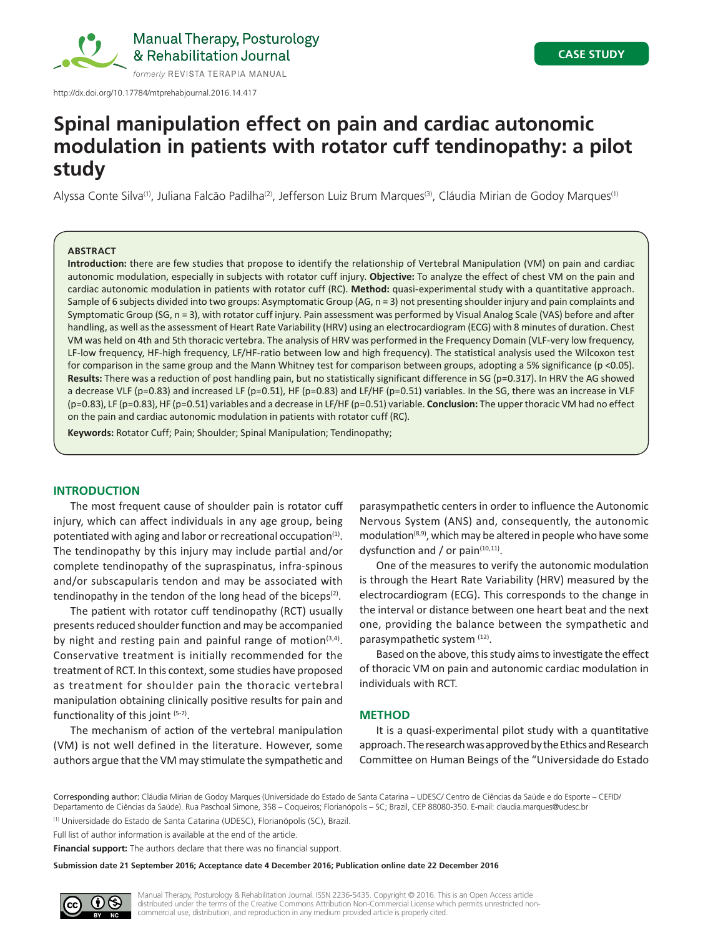

# **Spinal manipulation effect on pain and cardiac autonomic modulation in patients with rotator cuff tendinopathy: a pilot study**

Alyssa Conte Silva<sup>(1)</sup>, Juliana Falcão Padilha<sup>(2)</sup>, Jefferson Luiz Brum Marques<sup>(3)</sup>, Cláudia Mirian de Godoy Marques<sup>(1)</sup>

# **ABSTRACT**

**Introduction:** there are few studies that propose to identify the relationship of Vertebral Manipulation (VM) on pain and cardiac autonomic modulation, especially in subjects with rotator cuff injury. **Objective:** To analyze the effect of chest VM on the pain and cardiac autonomic modulation in patients with rotator cuff (RC). **Method:** quasi-experimental study with a quantitative approach. Sample of 6 subjects divided into two groups: Asymptomatic Group (AG, n = 3) not presenting shoulder injury and pain complaints and Symptomatic Group (SG, n = 3), with rotator cuff injury. Pain assessment was performed by Visual Analog Scale (VAS) before and after handling, as well as the assessment of Heart Rate Variability (HRV) using an electrocardiogram (ECG) with 8 minutes of duration. Chest VM was held on 4th and 5th thoracic vertebra. The analysis of HRV was performed in the Frequency Domain (VLF-very low frequency, LF-low frequency, HF-high frequency, LF/HF-ratio between low and high frequency). The statistical analysis used the Wilcoxon test for comparison in the same group and the Mann Whitney test for comparison between groups, adopting a 5% significance (p <0.05). Results: There was a reduction of post handling pain, but no statistically significant difference in SG (p=0.317). In HRV the AG showed a decrease VLF (p=0.83) and increased LF (p=0.51), HF (p=0.83) and LF/HF (p=0.51) variables. In the SG, there was an increase in VLF (p=0.83), LF (p=0.83), HF (p=0.51) variables and a decrease in LF/HF (p=0.51) variable. **Conclusion:** The upper thoracic VM had no effect on the pain and cardiac autonomic modulation in patients with rotator cuff (RC).

**Keywords:** Rotator Cuff; Pain; Shoulder; Spinal Manipulation; Tendinopathy;

# **INTRODUCTION**

The most frequent cause of shoulder pain is rotator cuff injury, which can affect individuals in any age group, being potentiated with aging and labor or recreational occupation $(1)$ . The tendinopathy by this injury may include partial and/or complete tendinopathy of the supraspinatus, infra-spinous and/or subscapularis tendon and may be associated with tendinopathy in the tendon of the long head of the biceps<sup>(2)</sup>.

The patient with rotator cuff tendinopathy (RCT) usually presents reduced shoulder function and may be accompanied by night and resting pain and painful range of motion $(3,4)$ . Conservative treatment is initially recommended for the treatment of RCT. In this context, some studies have proposed as treatment for shoulder pain the thoracic vertebral manipulation obtaining clinically positive results for pain and functionality of this joint (5-7).

The mechanism of action of the vertebral manipulation (VM) is not well defined in the literature. However, some authors argue that the VM may stimulate the sympathetic and

parasympathetic centers in order to influence the Autonomic Nervous System (ANS) and, consequently, the autonomic modulation<sup>(8,9)</sup>, which may be altered in people who have some dysfunction and / or pain $(10,11)$ .

One of the measures to verify the autonomic modulation is through the Heart Rate Variability (HRV) measured by the electrocardiogram (ECG). This corresponds to the change in the interval or distance between one heart beat and the next one, providing the balance between the sympathetic and parasympathetic system (12).

Based on the above, this study aims to investigate the effect of thoracic VM on pain and autonomic cardiac modulation in individuals with RCT.

# **METHOD**

It is a quasi-experimental pilot study with a quantitative approach. The research was approved by the Ethics and Research Committee on Human Beings of the "Universidade do Estado

Corresponding author: Cláudia Mirian de Godoy Marques (Universidade do Estado de Santa Catarina – UDESC/ Centro de Ciências da Saúde e do Esporte – CEFID/ Departamento de Ciências da Saúde). Rua Paschoal Simone, 358 – Coqueiros; Florianópolis – SC; Brazil, CEP 88080-350. E-mail: claudia.marques@udesc.br (1) Universidade do Estado de Santa Catarina (UDESC), Florianópolis (SC), Brazil.

Full list of author information is available at the end of the article.

**Financial support:** The authors declare that there was no financial support.

**Submission date 21 September 2016; Acceptance date 4 December 2016; Publication online date 22 December 2016**

Manual Therapy, Posturology & Rehabilitation Journal. ISSN 2236-5435. Copyright © 2016. This is an Open Access article distributed under the terms of the Creative Commons Attribution Non-Commercial License which permits unrestricted noncommercial use, distribution, and reproduction in any medium provided article is properly cited.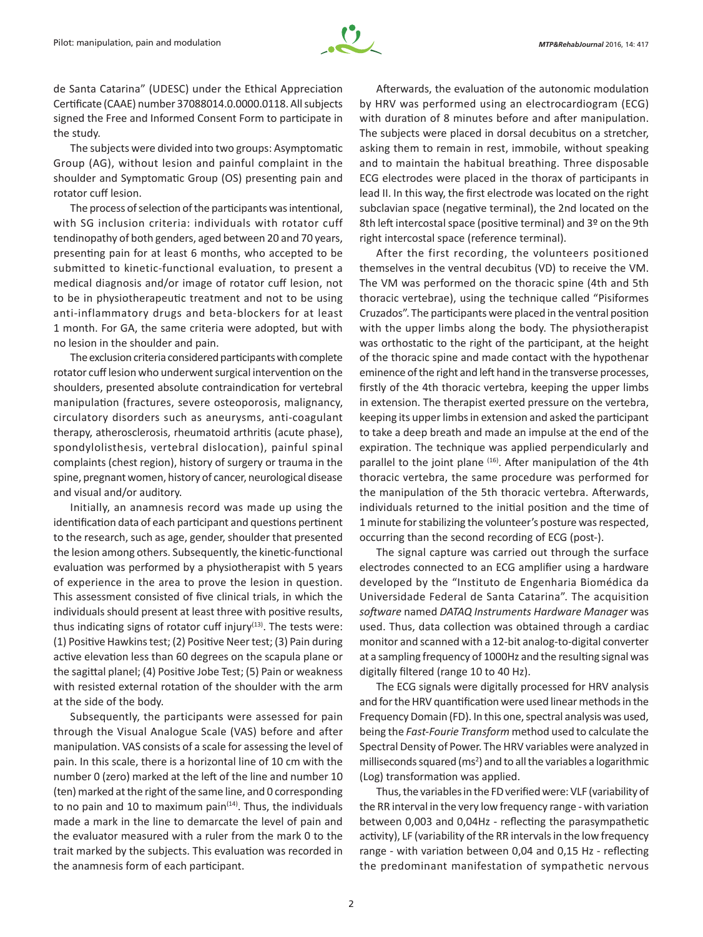

de Santa Catarina" (UDESC) under the Ethical Appreciation Certificate (CAAE) number 37088014.0.0000.0118. All subjects signed the Free and Informed Consent Form to participate in the study.

The subjects were divided into two groups: Asymptomatic Group (AG), without lesion and painful complaint in the shoulder and Symptomatic Group (OS) presenting pain and rotator cuff lesion.

The process of selection of the participants was intentional, with SG inclusion criteria: individuals with rotator cuff tendinopathy of both genders, aged between 20 and 70 years, presenting pain for at least 6 months, who accepted to be submitted to kinetic-functional evaluation, to present a medical diagnosis and/or image of rotator cuff lesion, not to be in physiotherapeutic treatment and not to be using anti-inflammatory drugs and beta-blockers for at least 1 month. For GA, the same criteria were adopted, but with no lesion in the shoulder and pain.

The exclusion criteria considered participants with complete rotator cuff lesion who underwent surgical intervention on the shoulders, presented absolute contraindication for vertebral manipulation (fractures, severe osteoporosis, malignancy, circulatory disorders such as aneurysms, anti-coagulant therapy, atherosclerosis, rheumatoid arthritis (acute phase), spondylolisthesis, vertebral dislocation), painful spinal complaints (chest region), history of surgery or trauma in the spine, pregnant women, history of cancer, neurological disease and visual and/or auditory.

Initially, an anamnesis record was made up using the identification data of each participant and questions pertinent to the research, such as age, gender, shoulder that presented the lesion among others. Subsequently, the kinetic-functional evaluation was performed by a physiotherapist with 5 years of experience in the area to prove the lesion in question. This assessment consisted of five clinical trials, in which the individuals should present at least three with positive results, thus indicating signs of rotator cuff injury $(13)$ . The tests were: (1) Positive Hawkins test; (2) Positive Neer test; (3) Pain during active elevation less than 60 degrees on the scapula plane or the sagittal planel; (4) Positive Jobe Test; (5) Pain or weakness with resisted external rotation of the shoulder with the arm at the side of the body.

Subsequently, the participants were assessed for pain through the Visual Analogue Scale (VAS) before and after manipulation. VAS consists of a scale for assessing the level of pain. In this scale, there is a horizontal line of 10 cm with the number 0 (zero) marked at the left of the line and number 10 (ten) marked at the right of the same line, and 0 corresponding to no pain and 10 to maximum pain $(14)$ . Thus, the individuals made a mark in the line to demarcate the level of pain and the evaluator measured with a ruler from the mark 0 to the trait marked by the subjects. This evaluation was recorded in the anamnesis form of each participant.

Afterwards, the evaluation of the autonomic modulation by HRV was performed using an electrocardiogram (ECG) with duration of 8 minutes before and after manipulation. The subjects were placed in dorsal decubitus on a stretcher, asking them to remain in rest, immobile, without speaking and to maintain the habitual breathing. Three disposable ECG electrodes were placed in the thorax of participants in lead II. In this way, the first electrode was located on the right subclavian space (negative terminal), the 2nd located on the 8th left intercostal space (positive terminal) and 3<sup>o</sup> on the 9th right intercostal space (reference terminal).

After the first recording, the volunteers positioned themselves in the ventral decubitus (VD) to receive the VM. The VM was performed on the thoracic spine (4th and 5th thoracic vertebrae), using the technique called "Pisiformes Cruzados". The participants were placed in the ventral position with the upper limbs along the body. The physiotherapist was orthostatic to the right of the participant, at the height of the thoracic spine and made contact with the hypothenar eminence of the right and left hand in the transverse processes, firstly of the 4th thoracic vertebra, keeping the upper limbs in extension. The therapist exerted pressure on the vertebra, keeping its upper limbs in extension and asked the participant to take a deep breath and made an impulse at the end of the expiration. The technique was applied perpendicularly and parallel to the joint plane (16). After manipulation of the 4th thoracic vertebra, the same procedure was performed for the manipulation of the 5th thoracic vertebra. Afterwards, individuals returned to the initial position and the time of 1 minute for stabilizing the volunteer's posture was respected, occurring than the second recording of ECG (post-).

The signal capture was carried out through the surface electrodes connected to an ECG amplifier using a hardware developed by the "Instituto de Engenharia Biomédica da Universidade Federal de Santa Catarina". The acquisition *software* named *DATAQ Instruments Hardware Manager* was used. Thus, data collection was obtained through a cardiac monitor and scanned with a 12-bit analog-to-digital converter at a sampling frequency of 1000Hz and the resulting signal was digitally filtered (range 10 to 40 Hz).

The ECG signals were digitally processed for HRV analysis and for the HRV quantification were used linear methods in the Frequency Domain (FD). In this one, spectral analysis was used, being the *Fast-Fourie Transform* method used to calculate the Spectral Density of Power. The HRV variables were analyzed in milliseconds squared (ms<sup>2</sup>) and to all the variables a logarithmic (Log) transformation was applied.

Thus, the variables in the FD verified were: VLF (variability of the RR interval in the very low frequency range - with variation between 0,003 and 0,04Hz - reflecting the parasympathetic activity), LF (variability of the RR intervals in the low frequency range - with variation between 0,04 and 0,15 Hz - reflecting the predominant manifestation of sympathetic nervous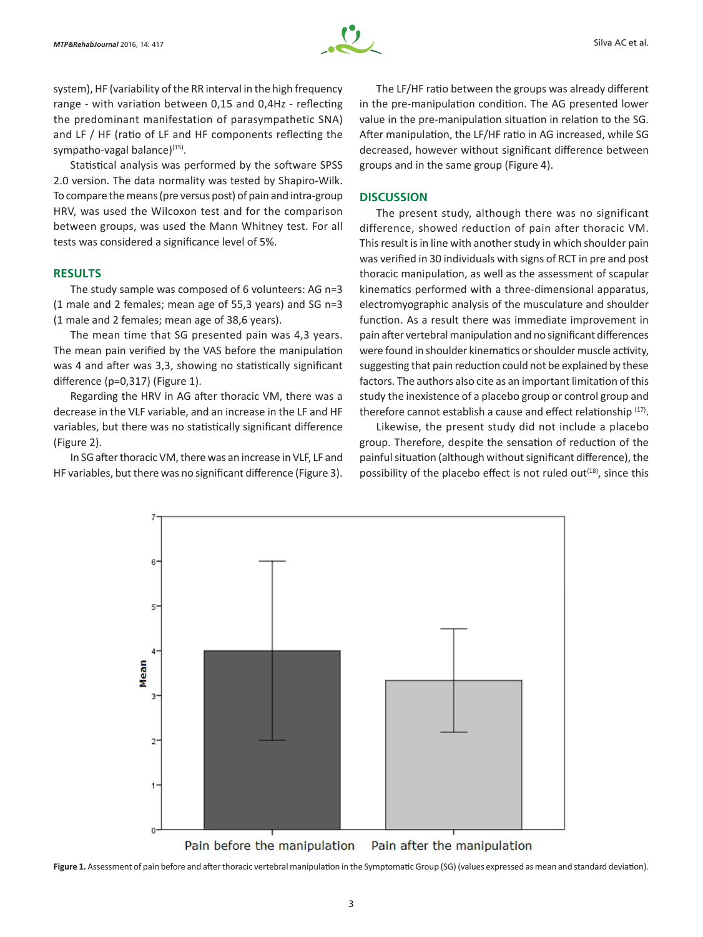

system), HF (variability of the RR interval in the high frequency range - with variation between 0,15 and 0,4Hz - reflecting the predominant manifestation of parasympathetic SNA) and LF / HF (ratio of LF and HF components reflecting the sympatho-vagal balance)<sup>(15)</sup>.

Statistical analysis was performed by the software SPSS 2.0 version. The data normality was tested by Shapiro-Wilk. To compare the means (pre versus post) of pain and intra‑group HRV, was used the Wilcoxon test and for the comparison between groups, was used the Mann Whitney test. For all tests was considered a significance level of 5%.

# **RESULTS**

The study sample was composed of 6 volunteers: AG n=3 (1 male and 2 females; mean age of 55,3 years) and SG n=3 (1 male and 2 females; mean age of 38,6 years).

The mean time that SG presented pain was 4,3 years. The mean pain verified by the VAS before the manipulation was 4 and after was 3,3, showing no statistically significant difference (p=0,317) (Figure 1).

Regarding the HRV in AG after thoracic VM, there was a decrease in the VLF variable, and an increase in the LF and HF variables, but there was no statistically significant difference (Figure 2).

In SG after thoracic VM, there was an increase in VLF, LF and HF variables, but there was no significant difference (Figure 3).

The LF/HF ratio between the groups was already different in the pre-manipulation condition. The AG presented lower value in the pre-manipulation situation in relation to the SG. After manipulation, the LF/HF ratio in AG increased, while SG decreased, however without significant difference between groups and in the same group (Figure 4).

# **DISCUSSION**

The present study, although there was no significant difference, showed reduction of pain after thoracic VM. This result is in line with another study in which shoulder pain was verified in 30 individuals with signs of RCT in pre and post thoracic manipulation, as well as the assessment of scapular kinematics performed with a three-dimensional apparatus, electromyographic analysis of the musculature and shoulder function. As a result there was immediate improvement in pain after vertebral manipulation and no significant differences were found in shoulder kinematics or shoulder muscle activity, suggesting that pain reduction could not be explained by these factors. The authors also cite as an important limitation of this study the inexistence of a placebo group or control group and therefore cannot establish a cause and effect relationship (17).

Likewise, the present study did not include a placebo group. Therefore, despite the sensation of reduction of the painful situation (although without significant difference), the possibility of the placebo effect is not ruled out $(18)$ , since this



Figure 1. Assessment of pain before and after thoracic vertebral manipulation in the Symptomatic Group (SG) (values expressed as mean and standard deviation).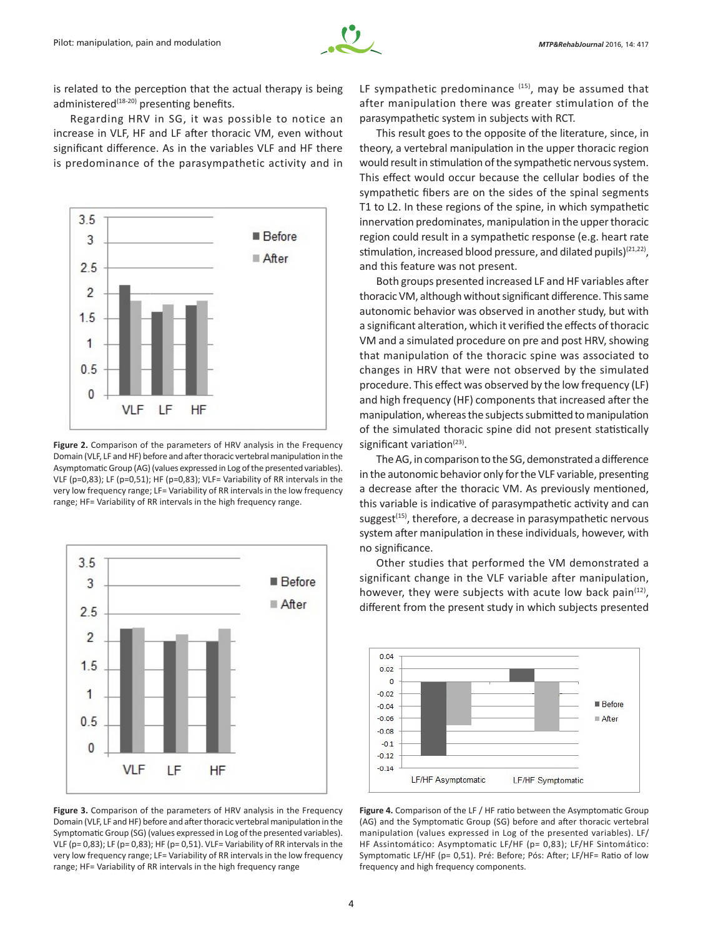is related to the perception that the actual therapy is being administered<sup>(18-20)</sup> presenting benefits.

Regarding HRV in SG, it was possible to notice an increase in VLF, HF and LF after thoracic VM, even without significant difference. As in the variables VLF and HF there is predominance of the parasympathetic activity and in



**Figure 2.** Comparison of the parameters of HRV analysis in the Frequency Domain (VLF, LF and HF) before and after thoracic vertebral manipulation in the Asymptomatic Group (AG) (values expressed in Log of the presented variables). VLF (p=0,83); LF (p=0,51); HF (p=0,83); VLF= Variability of RR intervals in the very low frequency range; LF= Variability of RR intervals in the low frequency range; HF= Variability of RR intervals in the high frequency range.



**Figure 3.** Comparison of the parameters of HRV analysis in the Frequency Domain (VLF, LF and HF) before and after thoracic vertebral manipulation in the Symptomatic Group (SG) (values expressed in Log of the presented variables). VLF (p= 0,83); LF (p= 0,83); HF (p= 0,51). VLF= Variability of RR intervals in the very low frequency range; LF= Variability of RR intervals in the low frequency range; HF= Variability of RR intervals in the high frequency range

LF sympathetic predominance  $(15)$ , may be assumed that after manipulation there was greater stimulation of the parasympathetic system in subjects with RCT.

This result goes to the opposite of the literature, since, in theory, a vertebral manipulation in the upper thoracic region would result in stimulation of the sympathetic nervous system. This effect would occur because the cellular bodies of the sympathetic fibers are on the sides of the spinal segments T1 to L2. In these regions of the spine, in which sympathetic innervation predominates, manipulation in the upper thoracic region could result in a sympathetic response (e.g. heart rate stimulation, increased blood pressure, and dilated pupils)<sup>(21,22)</sup>, and this feature was not present.

Both groups presented increased LF and HF variables after thoracic VM, although without significant difference. This same autonomic behavior was observed in another study, but with a significant alteration, which it verified the effects of thoracic VM and a simulated procedure on pre and post HRV, showing that manipulation of the thoracic spine was associated to changes in HRV that were not observed by the simulated procedure. This effect was observed by the low frequency (LF) and high frequency (HF) components that increased after the manipulation, whereas the subjects submitted to manipulation of the simulated thoracic spine did not present statistically significant variation $(23)$ .

The AG, in comparison to the SG, demonstrated a difference in the autonomic behavior only for the VLF variable, presenting a decrease after the thoracic VM. As previously mentioned, this variable is indicative of parasympathetic activity and can suggest $(15)$ , therefore, a decrease in parasympathetic nervous system after manipulation in these individuals, however, with no significance.

Other studies that performed the VM demonstrated a significant change in the VLF variable after manipulation, however, they were subjects with acute low back pain $(12)$ , different from the present study in which subjects presented



**Figure 4.** Comparison of the LF / HF ratio between the Asymptomatic Group (AG) and the Symptomatic Group (SG) before and after thoracic vertebral manipulation (values expressed in Log of the presented variables). LF/ HF Assintomático: Asymptomatic LF/HF (p= 0,83); LF/HF Sintomático: Symptomatic LF/HF (p= 0,51). Pré: Before; Pós: After; LF/HF= Ratio of low frequency and high frequency components.